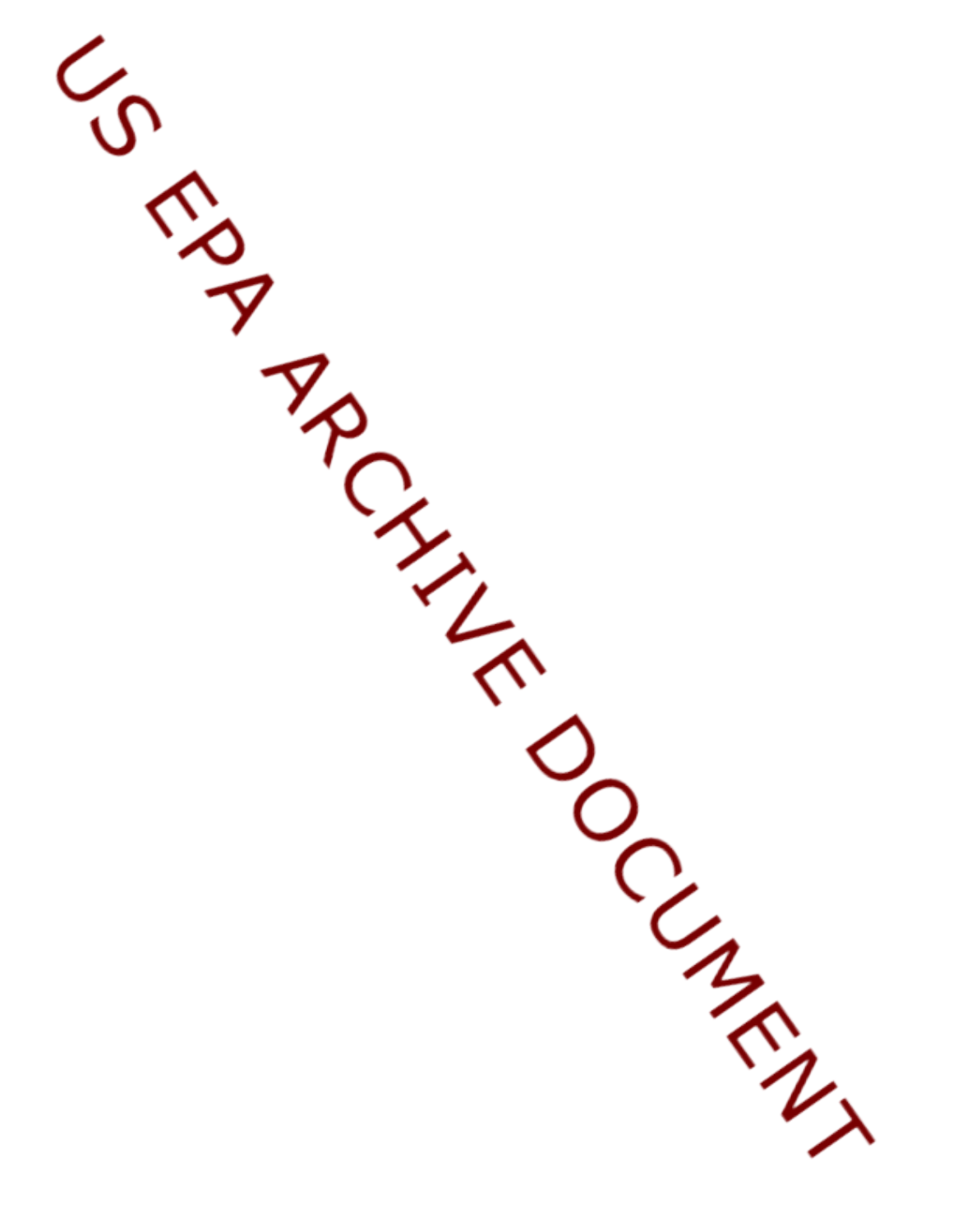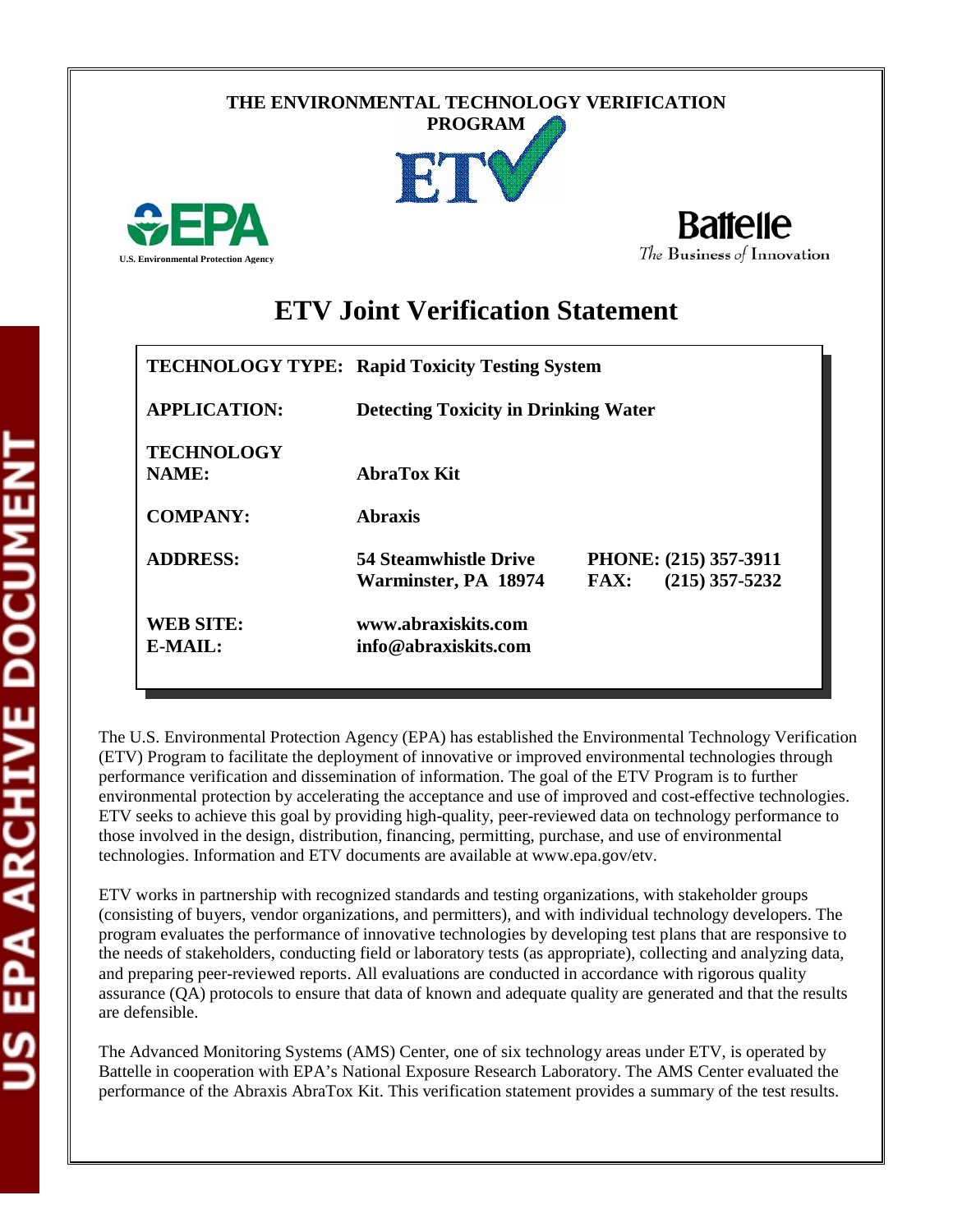#### **THE ENVIRONMENTAL TECHNOLOGY VERIFICATION PROGRAM**



**Battelle** The Business of Innovation

# **ETV Joint Verification Statement**

|                                      | <b>TECHNOLOGY TYPE: Rapid Toxicity Testing System</b> |                                                          |  |  |  |
|--------------------------------------|-------------------------------------------------------|----------------------------------------------------------|--|--|--|
| <b>APPLICATION:</b>                  | <b>Detecting Toxicity in Drinking Water</b>           |                                                          |  |  |  |
| <b>TECHNOLOGY</b><br>NAME:           | AbraTox Kit                                           |                                                          |  |  |  |
| <b>COMPANY:</b>                      | <b>Abraxis</b>                                        |                                                          |  |  |  |
| <b>ADDRESS:</b>                      | <b>54 Steamwhistle Drive</b><br>Warminster, PA 18974  | PHONE: (215) 357-3911<br>$(215)$ 357-5232<br><b>FAX:</b> |  |  |  |
| <b>WEB SITE:</b><br>$E\text{-}MAIL:$ | www.abraxiskits.com<br>info@abraxiskits.com           |                                                          |  |  |  |

The U.S. Environmental Protection Agency (EPA) has established the Environmental Technology Verification (ETV) Program to facilitate the deployment of innovative or improved environmental technologies through performance verification and dissemination of information. The goal of the ETV Program is to further environmental protection by accelerating the acceptance and use of improved and cost-effective technologies. ETV seeks to achieve this goal by providing high-quality, peer-reviewed data on technology performance to those involved in the design, distribution, financing, permitting, purchase, and use of environmental technologies. Information and ETV documents are available at www.epa.gov/etv.

ETV works in partnership with recognized standards and testing organizations, with stakeholder groups (consisting of buyers, vendor organizations, and permitters), and with individual technology developers. The program evaluates the performance of innovative technologies by developing test plans that are responsive to the needs of stakeholders, conducting field or laboratory tests (as appropriate), collecting and analyzing data, and preparing peer-reviewed reports. All evaluations are conducted in accordance with rigorous quality assurance (QA) protocols to ensure that data of known and adequate quality are generated and that the results are defensible.

The Advanced Monitoring Systems (AMS) Center, one of six technology areas under ETV, is operated by Battelle in cooperation with EPA's National Exposure Research Laboratory. The AMS Center evaluated the performance of the Abraxis AbraTox Kit. This verification statement provides a summary of the test results.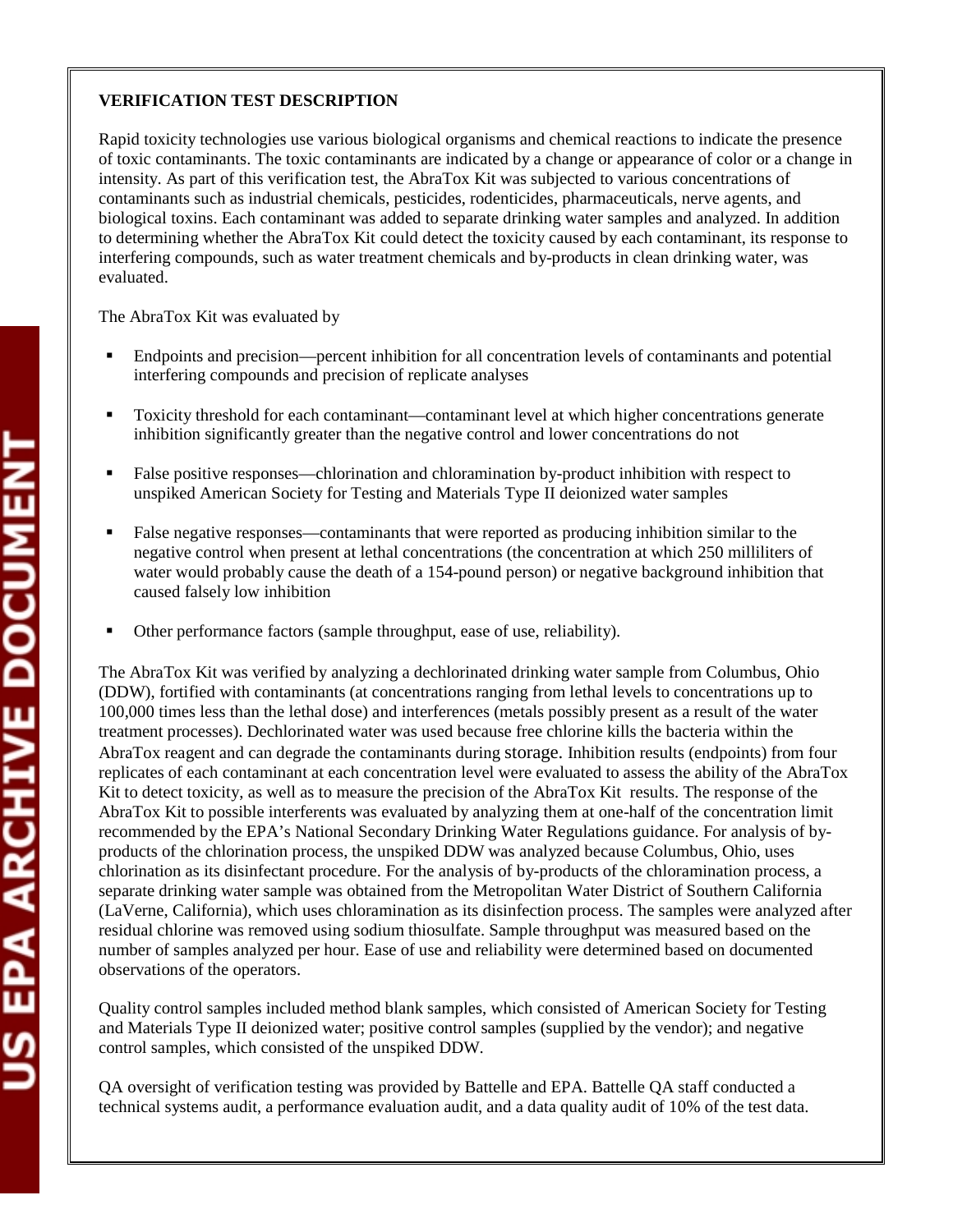### **VERIFICATION TEST DESCRIPTION**

Rapid toxicity technologies use various biological organisms and chemical reactions to indicate the presence of toxic contaminants. The toxic contaminants are indicated by a change or appearance of color or a change in intensity. As part of this verification test, the AbraTox Kit was subjected to various concentrations of contaminants such as industrial chemicals, pesticides, rodenticides, pharmaceuticals, nerve agents, and biological toxins. Each contaminant was added to separate drinking water samples and analyzed. In addition to determining whether the AbraTox Kit could detect the toxicity caused by each contaminant, its response to interfering compounds, such as water treatment chemicals and by-products in clean drinking water, was evaluated.

The AbraTox Kit was evaluated by

- Endpoints and precision—percent inhibition for all concentration levels of contaminants and potential interfering compounds and precision of replicate analyses
- Toxicity threshold for each contaminant—contaminant level at which higher concentrations generate inhibition significantly greater than the negative control and lower concentrations do not
- False positive responses—chlorination and chloramination by-product inhibition with respect to unspiked American Society for Testing and Materials Type II deionized water samples
- False negative responses—contaminants that were reported as producing inhibition similar to the negative control when present at lethal concentrations (the concentration at which 250 milliliters of water would probably cause the death of a 154-pound person) or negative background inhibition that caused falsely low inhibition
- Other performance factors (sample throughput, ease of use, reliability).

The AbraTox Kit was verified by analyzing a dechlorinated drinking water sample from Columbus, Ohio (DDW), fortified with contaminants (at concentrations ranging from lethal levels to concentrations up to 100,000 times less than the lethal dose) and interferences (metals possibly present as a result of the water treatment processes). Dechlorinated water was used because free chlorine kills the bacteria within the AbraTox reagent and can degrade the contaminants during storage. Inhibition results (endpoints) from four replicates of each contaminant at each concentration level were evaluated to assess the ability of the AbraTox Kit to detect toxicity, as well as to measure the precision of the AbraTox Kit results. The response of the AbraTox Kit to possible interferents was evaluated by analyzing them at one-half of the concentration limit recommended by the EPA's National Secondary Drinking Water Regulations guidance. For analysis of byproducts of the chlorination process, the unspiked DDW was analyzed because Columbus, Ohio, uses chlorination as its disinfectant procedure. For the analysis of by-products of the chloramination process, a separate drinking water sample was obtained from the Metropolitan Water District of Southern California (LaVerne, California), which uses chloramination as its disinfection process. The samples were analyzed after residual chlorine was removed using sodium thiosulfate. Sample throughput was measured based on the number of samples analyzed per hour. Ease of use and reliability were determined based on documented observations of the operators.

Quality control samples included method blank samples, which consisted of American Society for Testing and Materials Type II deionized water; positive control samples (supplied by the vendor); and negative control samples, which consisted of the unspiked DDW.

QA oversight of verification testing was provided by Battelle and EPA. Battelle QA staff conducted a technical systems audit, a performance evaluation audit, and a data quality audit of 10% of the test data.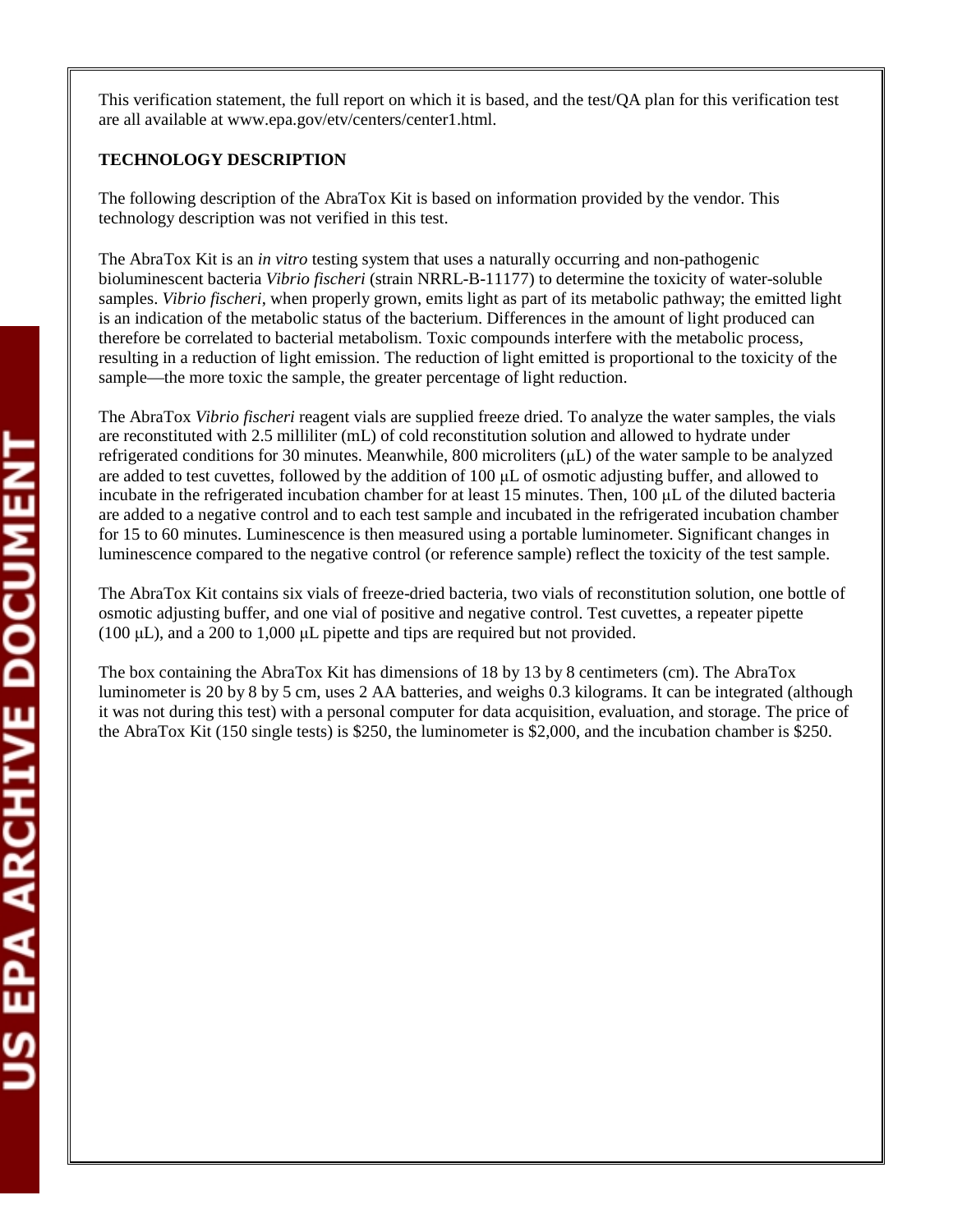This verification statement, the full report on which it is based, and the test/QA plan for this verification test are all available at www.epa.gov/etv/centers/center1.html.

### **TECHNOLOGY DESCRIPTION**

The following description of the AbraTox Kit is based on information provided by the vendor. This technology description was not verified in this test.

The AbraTox Kit is an *in vitro* testing system that uses a naturally occurring and non-pathogenic bioluminescent bacteria *Vibrio fischeri* (strain NRRL-B-11177) to determine the toxicity of water-soluble samples. *Vibrio fischeri*, when properly grown, emits light as part of its metabolic pathway; the emitted light is an indication of the metabolic status of the bacterium. Differences in the amount of light produced can therefore be correlated to bacterial metabolism. Toxic compounds interfere with the metabolic process, resulting in a reduction of light emission. The reduction of light emitted is proportional to the toxicity of the sample—the more toxic the sample, the greater percentage of light reduction.

The AbraTox *Vibrio fischeri* reagent vials are supplied freeze dried. To analyze the water samples, the vials are reconstituted with 2.5 milliliter (mL) of cold reconstitution solution and allowed to hydrate under refrigerated conditions for 30 minutes. Meanwhile, 800 microliters (μL) of the water sample to be analyzed are added to test cuvettes, followed by the addition of  $100 \mu$ L of osmotic adjusting buffer, and allowed to incubate in the refrigerated incubation chamber for at least 15 minutes. Then, 100 μL of the diluted bacteria are added to a negative control and to each test sample and incubated in the refrigerated incubation chamber for 15 to 60 minutes. Luminescence is then measured using a portable luminometer. Significant changes in luminescence compared to the negative control (or reference sample) reflect the toxicity of the test sample.

The AbraTox Kit contains six vials of freeze-dried bacteria, two vials of reconstitution solution, one bottle of osmotic adjusting buffer, and one vial of positive and negative control. Test cuvettes, a repeater pipette (100 μL), and a 200 to 1,000 μL pipette and tips are required but not provided.

The box containing the AbraTox Kit has dimensions of 18 by 13 by 8 centimeters (cm). The AbraTox luminometer is 20 by 8 by 5 cm, uses 2 AA batteries, and weighs 0.3 kilograms. It can be integrated (although it was not during this test) with a personal computer for data acquisition, evaluation, and storage. The price of the AbraTox Kit (150 single tests) is \$250, the luminometer is \$2,000, and the incubation chamber is \$250.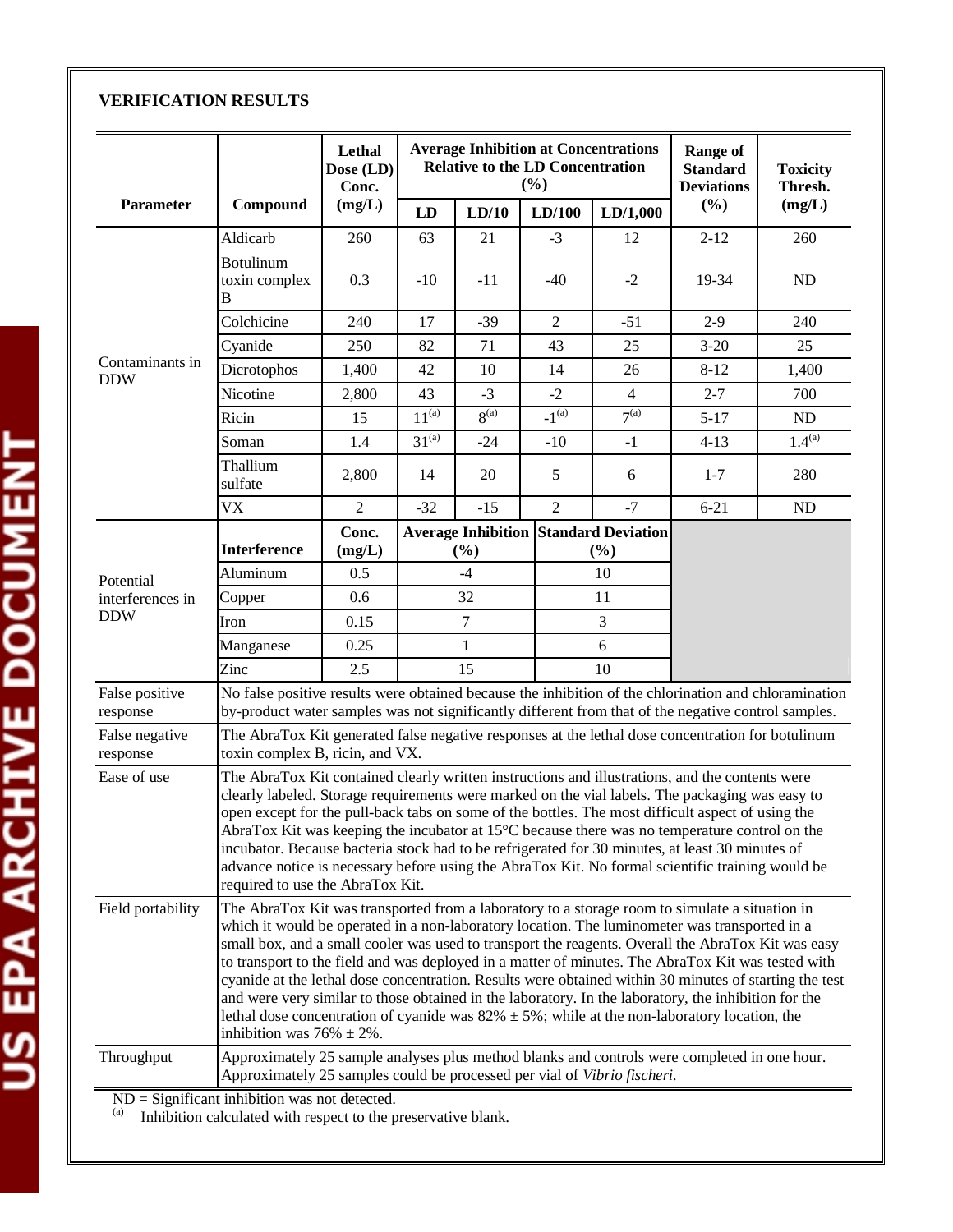## **VERIFICATION RESULTS**

|                                                                                                                                          |                                                                                                                                                                                                                                                                                                                                                                                                                                                                                                                                                                                                                                                                                                                                                                         | Lethal<br>Dose (LD)<br>Conc. |                                                                                                                                                                                                              |                  | <b>Relative to the LD Concentration</b><br>$(\%)$ | <b>Average Inhibition at Concentrations</b> | <b>Range of</b><br><b>Standard</b><br><b>Deviations</b> | <b>Toxicity</b><br>Thresh. |
|------------------------------------------------------------------------------------------------------------------------------------------|-------------------------------------------------------------------------------------------------------------------------------------------------------------------------------------------------------------------------------------------------------------------------------------------------------------------------------------------------------------------------------------------------------------------------------------------------------------------------------------------------------------------------------------------------------------------------------------------------------------------------------------------------------------------------------------------------------------------------------------------------------------------------|------------------------------|--------------------------------------------------------------------------------------------------------------------------------------------------------------------------------------------------------------|------------------|---------------------------------------------------|---------------------------------------------|---------------------------------------------------------|----------------------------|
| <b>Parameter</b>                                                                                                                         | Compound                                                                                                                                                                                                                                                                                                                                                                                                                                                                                                                                                                                                                                                                                                                                                                | (mg/L)                       | LD                                                                                                                                                                                                           | LD/10            | LD/100                                            | LD/1,000                                    | (%)                                                     | (mg/L)                     |
|                                                                                                                                          | Aldicarb                                                                                                                                                                                                                                                                                                                                                                                                                                                                                                                                                                                                                                                                                                                                                                | 260                          | 63                                                                                                                                                                                                           | 21               | $-3$                                              | 12                                          | $2 - 12$                                                | 260                        |
|                                                                                                                                          | <b>Botulinum</b><br>toxin complex<br>B                                                                                                                                                                                                                                                                                                                                                                                                                                                                                                                                                                                                                                                                                                                                  | 0.3                          | $-10$                                                                                                                                                                                                        | $-11$            | $-40$                                             | $-2$                                        | 19-34                                                   | ND                         |
|                                                                                                                                          | Colchicine                                                                                                                                                                                                                                                                                                                                                                                                                                                                                                                                                                                                                                                                                                                                                              | 240                          | 17                                                                                                                                                                                                           | $-39$            | $\overline{2}$                                    | $-51$                                       | $2-9$                                                   | 240                        |
|                                                                                                                                          | Cyanide                                                                                                                                                                                                                                                                                                                                                                                                                                                                                                                                                                                                                                                                                                                                                                 | 250                          | 82                                                                                                                                                                                                           | 71               | 43                                                | 25                                          | $3 - 20$                                                | 25                         |
|                                                                                                                                          | Dicrotophos                                                                                                                                                                                                                                                                                                                                                                                                                                                                                                                                                                                                                                                                                                                                                             | 1,400                        | 42                                                                                                                                                                                                           | 10               | 14                                                | 26                                          | $8 - 12$                                                | 1,400                      |
|                                                                                                                                          | Nicotine                                                                                                                                                                                                                                                                                                                                                                                                                                                                                                                                                                                                                                                                                                                                                                | 2,800                        | 43                                                                                                                                                                                                           | $-3$             | $-2$                                              | $\overline{4}$                              | $2 - 7$                                                 | 700                        |
| Contaminants in<br><b>DDW</b><br>Potential<br>interferences in<br><b>DDW</b><br>False positive<br>response<br>False negative<br>response | Ricin                                                                                                                                                                                                                                                                                                                                                                                                                                                                                                                                                                                                                                                                                                                                                                   | 15                           | $11^{(a)}$                                                                                                                                                                                                   | 8 <sup>(a)</sup> | $-1^{(\overline{a})}$                             | 7 <sup>(a)</sup>                            | $5 - 17$                                                | ND                         |
|                                                                                                                                          | Soman                                                                                                                                                                                                                                                                                                                                                                                                                                                                                                                                                                                                                                                                                                                                                                   | 1.4                          | $31^{(a)}$                                                                                                                                                                                                   | $-24$            | $-10$                                             | $-1$                                        | $4 - 13$                                                | $1.4^{(a)}$                |
|                                                                                                                                          | Thallium<br>sulfate                                                                                                                                                                                                                                                                                                                                                                                                                                                                                                                                                                                                                                                                                                                                                     | 2,800                        | 14                                                                                                                                                                                                           | 20               | 5                                                 | 6                                           | $1 - 7$                                                 | 280                        |
|                                                                                                                                          | <b>VX</b>                                                                                                                                                                                                                                                                                                                                                                                                                                                                                                                                                                                                                                                                                                                                                               | $\overline{2}$               | $-32$                                                                                                                                                                                                        | $-15$            | $\overline{2}$                                    | $-7$                                        | $6 - 21$                                                | ND                         |
|                                                                                                                                          | <b>Interference</b>                                                                                                                                                                                                                                                                                                                                                                                                                                                                                                                                                                                                                                                                                                                                                     | Conc.<br>(mg/L)              | <b>Average Inhibition Standard Deviation</b><br>(%)                                                                                                                                                          |                  |                                                   | (%)                                         |                                                         |                            |
|                                                                                                                                          | Aluminum                                                                                                                                                                                                                                                                                                                                                                                                                                                                                                                                                                                                                                                                                                                                                                | 0.5                          | $-4$                                                                                                                                                                                                         |                  |                                                   | 10                                          |                                                         |                            |
|                                                                                                                                          | Copper                                                                                                                                                                                                                                                                                                                                                                                                                                                                                                                                                                                                                                                                                                                                                                  | 0.6                          | 32                                                                                                                                                                                                           |                  |                                                   | 11                                          |                                                         |                            |
|                                                                                                                                          | Iron                                                                                                                                                                                                                                                                                                                                                                                                                                                                                                                                                                                                                                                                                                                                                                    | 0.15                         | $\overline{7}$                                                                                                                                                                                               |                  |                                                   | 3                                           |                                                         |                            |
|                                                                                                                                          | Manganese                                                                                                                                                                                                                                                                                                                                                                                                                                                                                                                                                                                                                                                                                                                                                               | 0.25                         | $\mathbf{1}$                                                                                                                                                                                                 |                  |                                                   | 6                                           |                                                         |                            |
|                                                                                                                                          | Zinc                                                                                                                                                                                                                                                                                                                                                                                                                                                                                                                                                                                                                                                                                                                                                                    | 2.5                          | 15                                                                                                                                                                                                           |                  |                                                   | 10                                          |                                                         |                            |
|                                                                                                                                          |                                                                                                                                                                                                                                                                                                                                                                                                                                                                                                                                                                                                                                                                                                                                                                         |                              | No false positive results were obtained because the inhibition of the chlorination and chloramination<br>by-product water samples was not significantly different from that of the negative control samples. |                  |                                                   |                                             |                                                         |                            |
|                                                                                                                                          | The AbraTox Kit generated false negative responses at the lethal dose concentration for botulinum<br>toxin complex B, ricin, and VX.                                                                                                                                                                                                                                                                                                                                                                                                                                                                                                                                                                                                                                    |                              |                                                                                                                                                                                                              |                  |                                                   |                                             |                                                         |                            |
| Ease of use                                                                                                                              | The AbraTox Kit contained clearly written instructions and illustrations, and the contents were<br>clearly labeled. Storage requirements were marked on the vial labels. The packaging was easy to<br>open except for the pull-back tabs on some of the bottles. The most difficult aspect of using the<br>AbraTox Kit was keeping the incubator at 15°C because there was no temperature control on the<br>incubator. Because bacteria stock had to be refrigerated for 30 minutes, at least 30 minutes of<br>advance notice is necessary before using the AbraTox Kit. No formal scientific training would be<br>required to use the AbraTox Kit.                                                                                                                     |                              |                                                                                                                                                                                                              |                  |                                                   |                                             |                                                         |                            |
| Field portability                                                                                                                        | The AbraTox Kit was transported from a laboratory to a storage room to simulate a situation in<br>which it would be operated in a non-laboratory location. The luminometer was transported in a<br>small box, and a small cooler was used to transport the reagents. Overall the AbraTox Kit was easy<br>to transport to the field and was deployed in a matter of minutes. The AbraTox Kit was tested with<br>cyanide at the lethal dose concentration. Results were obtained within 30 minutes of starting the test<br>and were very similar to those obtained in the laboratory. In the laboratory, the inhibition for the<br>lethal dose concentration of cyanide was $82\% \pm 5\%$ ; while at the non-laboratory location, the<br>inhibition was $76\% \pm 2\%$ . |                              |                                                                                                                                                                                                              |                  |                                                   |                                             |                                                         |                            |
| Throughput                                                                                                                               | Approximately 25 sample analyses plus method blanks and controls were completed in one hour.<br>Approximately 25 samples could be processed per vial of Vibrio fischeri.                                                                                                                                                                                                                                                                                                                                                                                                                                                                                                                                                                                                |                              |                                                                                                                                                                                                              |                  |                                                   |                                             |                                                         |                            |
|                                                                                                                                          | $ND =$ Significant inhibition was not detected.                                                                                                                                                                                                                                                                                                                                                                                                                                                                                                                                                                                                                                                                                                                         |                              |                                                                                                                                                                                                              |                  |                                                   |                                             |                                                         |                            |

(a) Inhibition calculated with respect to the preservative blank.